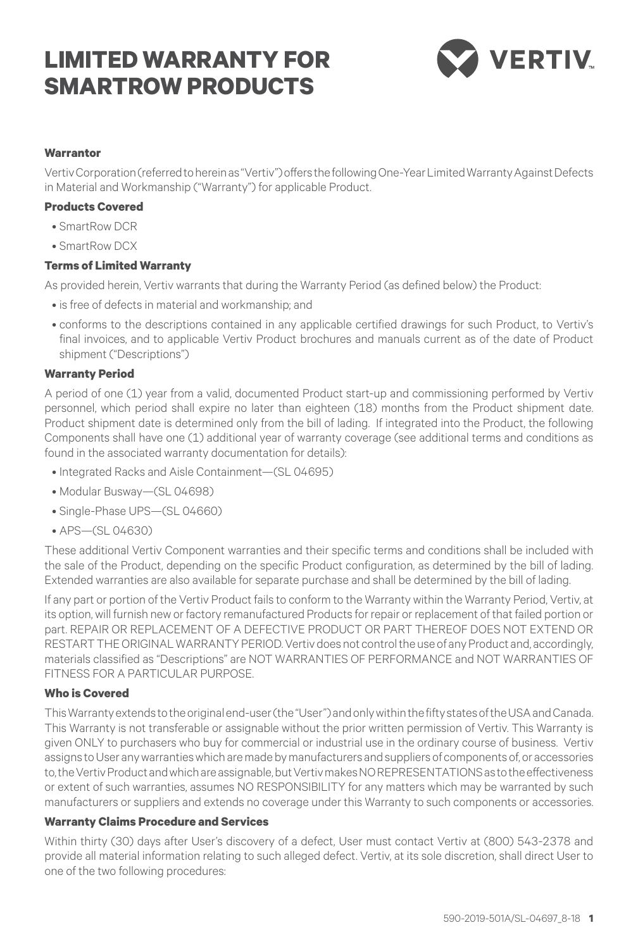# **LIMITED WARRANTY FOR SMARTROW PRODUCTS**



#### **Warrantor**

Vertiv Corporation (referred to herein as "Vertiv") offers the following One-Year Limited Warranty Against Defects in Material and Workmanship ("Warranty") for applicable Product.

#### **Products Covered**

- SmartRow DCR
- • SmartRow DCX

#### **Terms of Limited Warranty**

As provided herein, Vertiv warrants that during the Warranty Period (as defined below) the Product:

- is free of defects in material and workmanship; and
- • conforms to the descriptions contained in any applicable certified drawings for such Product, to Vertiv's final invoices, and to applicable Vertiv Product brochures and manuals current as of the date of Product shipment ("Descriptions")

#### **Warranty Period**

A period of one (1) year from a valid, documented Product start-up and commissioning performed by Vertiv personnel, which period shall expire no later than eighteen (18) months from the Product shipment date. Product shipment date is determined only from the bill of lading. If integrated into the Product, the following Components shall have one (1) additional year of warranty coverage (see additional terms and conditions as found in the associated warranty documentation for details):

- • Integrated Racks and Aisle Containment—(SL 04695)
- • Modular Busway—(SL 04698)
- Single-Phase UPS-(SL 04660)
- • APS—(SL 04630)

These additional Vertiv Component warranties and their specific terms and conditions shall be included with the sale of the Product, depending on the specific Product configuration, as determined by the bill of lading. Extended warranties are also available for separate purchase and shall be determined by the bill of lading.

If any part or portion of the Vertiv Product fails to conform to the Warranty within the Warranty Period, Vertiv, at its option, will furnish new or factory remanufactured Products for repair or replacement of that failed portion or part. REPAIR OR REPLACEMENT OF A DEFECTIVE PRODUCT OR PART THEREOF DOES NOT EXTEND OR RESTART THE ORIGINAL WARRANTY PERIOD. Vertiv does not control the use of any Product and, accordingly, materials classified as "Descriptions" are NOT WARRANTIES OF PERFORMANCE and NOT WARRANTIES OF FITNESS FOR A PARTICULAR PURPOSE.

## **Who is Covered**

This Warranty extends to the original end-user (the "User") and only within the fifty states of the USA and Canada. This Warranty is not transferable or assignable without the prior written permission of Vertiv. This Warranty is given ONLY to purchasers who buy for commercial or industrial use in the ordinary course of business. Vertiv assigns to User any warranties which are made by manufacturers and suppliers of components of, or accessories to, the Vertiv Product and which are assignable, but Vertiv makes NO REPRESENTATIONS as to the effectiveness or extent of such warranties, assumes NO RESPONSIBILITY for any matters which may be warranted by such manufacturers or suppliers and extends no coverage under this Warranty to such components or accessories.

#### **Warranty Claims Procedure and Services**

Within thirty (30) days after User's discovery of a defect, User must contact Vertiv at (800) 543-2378 and provide all material information relating to such alleged defect. Vertiv, at its sole discretion, shall direct User to one of the two following procedures: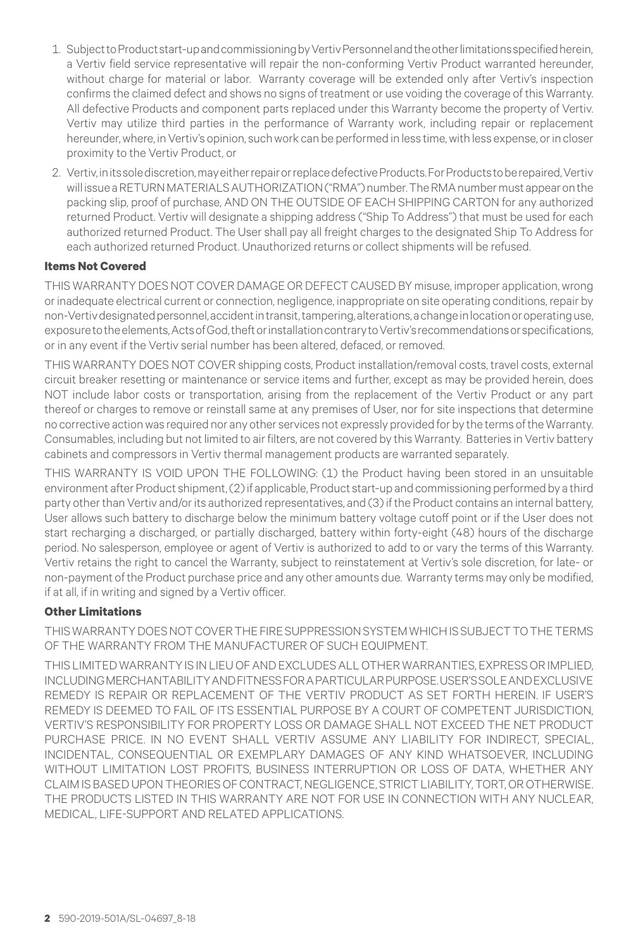- 1. Subject to Product start-up and commissioning by Vertiv Personnel and the other limitations specified herein, a Vertiv field service representative will repair the non-conforming Vertiv Product warranted hereunder, without charge for material or labor. Warranty coverage will be extended only after Vertiv's inspection confirms the claimed defect and shows no signs of treatment or use voiding the coverage of this Warranty. All defective Products and component parts replaced under this Warranty become the property of Vertiv. Vertiv may utilize third parties in the performance of Warranty work, including repair or replacement hereunder, where, in Vertiv's opinion, such work can be performed in less time, with less expense, or in closer proximity to the Vertiv Product, or
- 2. Vertiv, in its sole discretion, may either repair or replace defective Products. For Products to be repaired, Vertiv will issue a RETURN MATERIALS AUTHORIZATION ("RMA") number. The RMA number must appear on the packing slip, proof of purchase, AND ON THE OUTSIDE OF EACH SHIPPING CARTON for any authorized returned Product. Vertiv will designate a shipping address ("Ship To Address") that must be used for each authorized returned Product. The User shall pay all freight charges to the designated Ship To Address for each authorized returned Product. Unauthorized returns or collect shipments will be refused.

#### **Items Not Covered**

THIS WARRANTY DOES NOT COVER DAMAGE OR DEFECT CAUSED BY misuse, improper application, wrong or inadequate electrical current or connection, negligence, inappropriate on site operating conditions, repair by non-Vertiv designated personnel, accident in transit, tampering, alterations, a change in location or operating use, exposure to the elements, Acts of God, theft or installation contrary to Vertiv's recommendations or specifications, or in any event if the Vertiv serial number has been altered, defaced, or removed.

THIS WARRANTY DOES NOT COVER shipping costs, Product installation/removal costs, travel costs, external circuit breaker resetting or maintenance or service items and further, except as may be provided herein, does NOT include labor costs or transportation, arising from the replacement of the Vertiv Product or any part thereof or charges to remove or reinstall same at any premises of User, nor for site inspections that determine no corrective action was required nor any other services not expressly provided for by the terms of the Warranty. Consumables, including but not limited to air filters, are not covered by this Warranty. Batteries in Vertiv battery cabinets and compressors in Vertiv thermal management products are warranted separately.

THIS WARRANTY IS VOID UPON THE FOLLOWING: (1) the Product having been stored in an unsuitable environment after Product shipment, (2) if applicable, Product start-up and commissioning performed by a third party other than Vertiv and/or its authorized representatives, and (3) if the Product contains an internal battery, User allows such battery to discharge below the minimum battery voltage cutoff point or if the User does not start recharging a discharged, or partially discharged, battery within forty-eight (48) hours of the discharge period. No salesperson, employee or agent of Vertiv is authorized to add to or vary the terms of this Warranty. Vertiv retains the right to cancel the Warranty, subject to reinstatement at Vertiv's sole discretion, for late- or non-payment of the Product purchase price and any other amounts due. Warranty terms may only be modified, if at all, if in writing and signed by a Vertiv officer.

### **Other Limitations**

THIS WARRANTY DOES NOT COVER THE FIRE SUPPRESSION SYSTEM WHICH IS SUBJECT TO THE TERMS OF THE WARRANTY FROM THE MANUFACTURER OF SUCH EQUIPMENT.

THIS LIMITED WARRANTY IS IN LIEU OF AND EXCLUDES ALL OTHER WARRANTIES, EXPRESS OR IMPLIED, INCLUDING MERCHANTABILITY AND FITNESS FOR A PARTICULAR PURPOSE. USER'S SOLE AND EXCLUSIVE REMEDY IS REPAIR OR REPLACEMENT OF THE Vertiv PRODUCT AS SET FORTH HEREIN. IF USER'S REMEDY IS DEEMED TO FAIL OF ITS ESSENTIAL PURPOSE BY A COURT OF COMPETENT JURISDICTION, Vertiv'S RESPONSIBILITY FOR PROPERTY LOSS OR DAMAGE SHALL NOT EXCEED THE NET PRODUCT PURCHASE PRICE. IN NO EVENT SHALL Vertiv ASSUME ANY LIABILITY FOR INDIRECT, SPECIAL, INCIDENTAL, CONSEQUENTIAL OR EXEMPLARY DAMAGES OF ANY KIND WHATSOEVER, INCLUDING WITHOUT LIMITATION LOST PROFITS, BUSINESS INTERRUPTION OR LOSS OF DATA, WHETHER ANY CLAIM IS BASED UPON THEORIES OF CONTRACT, NEGLIGENCE, STRICT LIABILITY, TORT, OR OTHERWISE. THE PRODUCTS LISTED IN THIS WARRANTY ARE NOT FOR USE IN CONNECTION WITH ANY NUCLEAR, MEDICAL, LIFE-SUPPORT AND RELATED APPLICATIONS.